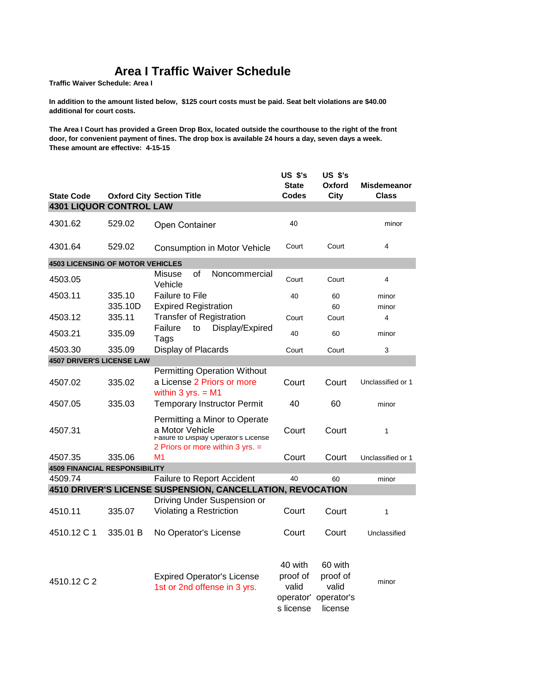## **Area I Traffic Waiver Schedule**

**Traffic Waiver Schedule: Area I** 

**In addition to the amount listed below, \$125 court costs must be paid. Seat belt violations are \$40.00 additional for court costs.**

**The Area I Court has provided a Green Drop Box, located outside the courthouse to the right of the front door, for convenient payment of fines. The drop box is available 24 hours a day, seven days a week. These amount are effective: 4-15-15** 

|                                         |          |                                                                                                                                 | <b>US \$'s</b><br><b>State</b>                         | <b>US \$'s</b><br>Oxford                              | <b>Misdemeanor</b>      |
|-----------------------------------------|----------|---------------------------------------------------------------------------------------------------------------------------------|--------------------------------------------------------|-------------------------------------------------------|-------------------------|
| <b>State Code</b>                       |          | <b>Oxford City Section Title</b>                                                                                                | Codes                                                  | City                                                  | Class                   |
| <b>4301 LIQUOR CONTROL LAW</b>          |          |                                                                                                                                 |                                                        |                                                       |                         |
| 4301.62                                 | 529.02   | Open Container                                                                                                                  | 40                                                     |                                                       | minor                   |
| 4301.64                                 | 529.02   | Consumption in Motor Vehicle                                                                                                    | Court                                                  | Court                                                 | $\overline{4}$          |
| <b>4503 LICENSING OF MOTOR VEHICLES</b> |          |                                                                                                                                 |                                                        |                                                       |                         |
| 4503.05                                 |          | Misuse<br>οf<br>Noncommercial<br>Vehicle                                                                                        | Court                                                  | Court                                                 | 4                       |
| 4503.11                                 | 335.10   | Failure to File                                                                                                                 | 40                                                     | 60                                                    | minor                   |
|                                         | 335.10D  | <b>Expired Registration</b>                                                                                                     |                                                        | 60                                                    | minor                   |
| 4503.12                                 | 335.11   | <b>Transfer of Registration</b>                                                                                                 | Court                                                  | Court                                                 | $\overline{\mathbf{4}}$ |
| 4503.21                                 | 335.09   | Failure<br>Display/Expired<br>to<br>Tags                                                                                        | 40                                                     | 60                                                    | minor                   |
| 4503.30                                 | 335.09   | Display of Placards                                                                                                             | Court                                                  | Court                                                 | 3                       |
| <b>4507 DRIVER'S LICENSE LAW</b>        |          |                                                                                                                                 |                                                        |                                                       |                         |
|                                         |          | <b>Permitting Operation Without</b>                                                                                             |                                                        |                                                       |                         |
| 4507.02                                 | 335.02   | a License 2 Priors or more<br>within $3 yrs. = M1$                                                                              | Court                                                  | Court                                                 | Unclassified or 1       |
| 4507.05                                 | 335.03   | <b>Temporary Instructor Permit</b>                                                                                              | 40                                                     | 60                                                    | minor                   |
| 4507.31                                 |          | Permitting a Minor to Operate<br>a Motor Vehicle<br>Failure to Display Operator's License<br>2 Priors or more within 3 yrs. $=$ | Court                                                  | Court                                                 | 1                       |
| 4507.35                                 | 335.06   | M1                                                                                                                              | Court                                                  | Court                                                 | Unclassified or 1       |
| <b>4509 FINANCIAL RESPONSIBILITY</b>    |          |                                                                                                                                 |                                                        |                                                       |                         |
| 4509.74                                 |          | <b>Failure to Report Accident</b>                                                                                               | 40                                                     | 60                                                    | minor                   |
|                                         |          | 4510 DRIVER'S LICENSE SUSPENSION, CANCELLATION, REVOCATION                                                                      |                                                        |                                                       |                         |
|                                         |          | Driving Under Suspension or                                                                                                     |                                                        |                                                       |                         |
| 4510.11                                 | 335.07   | Violating a Restriction                                                                                                         | Court                                                  | Court                                                 | 1                       |
| 4510.12 C 1                             | 335.01 B | No Operator's License                                                                                                           | Court                                                  | Court                                                 | Unclassified            |
| 4510.12 C 2                             |          | <b>Expired Operator's License</b><br>1st or 2nd offense in 3 yrs.                                                               | 40 with<br>proof of<br>valid<br>operator'<br>s license | 60 with<br>proof of<br>valid<br>operator's<br>license | minor                   |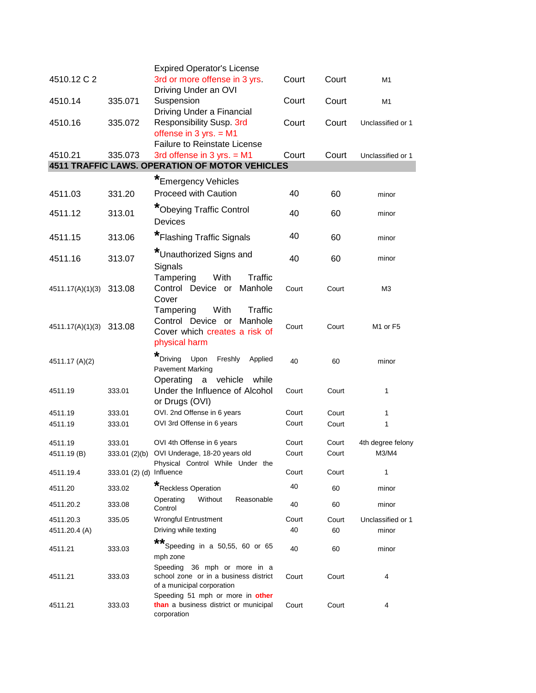| 4510.12 C 2             |                          | <b>Expired Operator's License</b><br>3rd or more offense in 3 yrs.                                             | Court | Court | M1                               |
|-------------------------|--------------------------|----------------------------------------------------------------------------------------------------------------|-------|-------|----------------------------------|
|                         |                          | Driving Under an OVI                                                                                           |       |       |                                  |
| 4510.14                 | 335.071                  | Suspension<br>Driving Under a Financial                                                                        | Court | Court | M1                               |
| 4510.16                 | 335.072                  | Responsibility Susp. 3rd<br>offense in $3$ yrs. = M1                                                           | Court | Court | Unclassified or 1                |
| 4510.21                 | 335.073                  | <b>Failure to Reinstate License</b><br>3rd offense in 3 yrs. $= M1$                                            | Court | Court | Unclassified or 1                |
|                         |                          | 4511 TRAFFIC LAWS. OPERATION OF MOTOR VEHICLES                                                                 |       |       |                                  |
|                         |                          | *Emergency Vehicles                                                                                            |       |       |                                  |
| 4511.03                 | 331.20                   | <b>Proceed with Caution</b>                                                                                    | 40    | 60    | minor                            |
| 4511.12                 | 313.01                   | *Obeying Traffic Control<br><b>Devices</b>                                                                     | 40    | 60    | minor                            |
| 4511.15                 | 313.06                   | *Flashing Traffic Signals                                                                                      | 40    | 60    | minor                            |
| 4511.16                 | 313.07                   | *Unauthorized Signs and<br>Signals                                                                             | 40    | 60    | minor                            |
| 4511.17(A)(1)(3) 313.08 |                          | Tampering<br>With<br>Traffic<br>Control Device or<br>Manhole<br>Cover                                          | Court | Court | M <sub>3</sub>                   |
| 4511.17(A)(1)(3) 313.08 |                          | With<br>Tampering<br>Traffic<br>Manhole<br>Control Device or<br>Cover which creates a risk of<br>physical harm | Court | Court | M <sub>1</sub> or F <sub>5</sub> |
| 4511.17 (A)(2)          |                          | *<br>Upon<br>Freshly<br>Driving<br>Applied<br><b>Pavement Marking</b>                                          | 40    | 60    | minor                            |
| 4511.19                 | 333.01                   | Operating<br>$\mathbf a$<br>vehicle<br>while<br>Under the Influence of Alcohol<br>or Drugs (OVI)               | Court | Court | 1                                |
| 4511.19                 | 333.01                   | OVI. 2nd Offense in 6 years                                                                                    | Court | Court | 1                                |
| 4511.19                 | 333.01                   | OVI 3rd Offense in 6 years                                                                                     | Court | Court | 1                                |
| 4511.19                 | 333.01                   | OVI 4th Offense in 6 years                                                                                     | Court | Court | 4th degree felony                |
| 4511.19 (B)             | 333.01 (2)(b)            | OVI Underage, 18-20 years old<br>Physical Control While Under the                                              | Court | Court | M3/M4                            |
| 4511.19.4               | 333.01 (2) (d) Influence |                                                                                                                | Court | Court | 1                                |
| 4511.20                 | 333.02                   | *Reckless Operation                                                                                            | 40    | 60    | minor                            |
| 4511.20.2               | 333.08                   | Without<br>Reasonable<br>Operating<br>Control                                                                  | 40    | 60    | minor                            |
| 4511.20.3               | 335.05                   | Wrongful Entrustment                                                                                           | Court | Court | Unclassified or 1                |
| 4511.20.4 (A)           |                          | Driving while texting<br>**                                                                                    | 40    | 60    | minor                            |
| 4511.21                 | 333.03                   | Speeding in a 50,55, 60 or 65<br>mph zone                                                                      | 40    | 60    | minor                            |
| 4511.21                 | 333.03                   | 36 mph or more in a<br>Speeding<br>school zone or in a business district<br>of a municipal corporation         | Court | Court | 4                                |
| 4511.21                 | 333.03                   | Speeding 51 mph or more in other<br>than a business district or municipal<br>corporation                       | Court | Court | 4                                |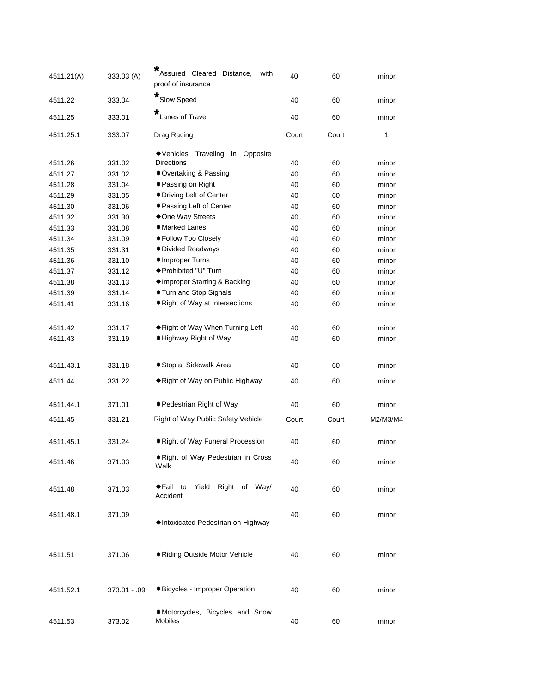| 4511.21(A) | 333.03 (A)     | *<br>Assured Cleared Distance,<br>with<br>proof of insurance | 40    | 60    | minor    |  |
|------------|----------------|--------------------------------------------------------------|-------|-------|----------|--|
| 4511.22    | 333.04         | *Slow Speed                                                  | 40    | 60    | minor    |  |
| 4511.25    | 333.01         | *<br>Lanes of Travel                                         | 40    | 60    | minor    |  |
| 4511.25.1  | 333.07         | Drag Racing                                                  | Court | Court | 1        |  |
|            |                | * Vehicles<br>Traveling<br>in Opposite                       |       |       |          |  |
| 4511.26    | 331.02         | <b>Directions</b>                                            | 40    | 60    | minor    |  |
| 4511.27    | 331.02         | *Overtaking & Passing                                        | 40    | 60    | minor    |  |
| 4511.28    | 331.04         | <b>∗Passing on Right</b>                                     | 40    | 60    | minor    |  |
| 4511.29    | 331.05         | <b><math>*</math>Driving Left of Center</b>                  | 40    | 60    | minor    |  |
| 4511.30    | 331.06         | <b>*</b> Passing Left of Center                              | 40    | 60    | minor    |  |
| 4511.32    | 331.30         | <b><math>*</math>One Way Streets</b>                         | 40    | 60    | minor    |  |
| 4511.33    | 331.08         | *Marked Lanes                                                | 40    | 60    | minor    |  |
| 4511.34    | 331.09         | *Follow Too Closely                                          | 40    | 60    | minor    |  |
| 4511.35    | 331.31         | <b>*</b> Divided Roadways                                    | 40    | 60    | minor    |  |
| 4511.36    | 331.10         | *Improper Turns                                              | 40    | 60    | minor    |  |
| 4511.37    | 331.12         | *Prohibited "U" Turn                                         | 40    | 60    | minor    |  |
| 4511.38    | 331.13         | *Improper Starting & Backing                                 | 40    | 60    | minor    |  |
| 4511.39    | 331.14         | *Turn and Stop Signals                                       | 40    | 60    | minor    |  |
| 4511.41    | 331.16         | * Right of Way at Intersections                              | 40    | 60    | minor    |  |
|            |                |                                                              |       |       |          |  |
| 4511.42    | 331.17         | * Right of Way When Turning Left                             | 40    | 60    | minor    |  |
| 4511.43    | 331.19         | *Highway Right of Way                                        | 40    | 60    | minor    |  |
|            |                |                                                              |       |       |          |  |
| 4511.43.1  | 331.18         | *Stop at Sidewalk Area                                       | 40    | 60    | minor    |  |
| 4511.44    | 331.22         | * Right of Way on Public Highway                             | 40    | 60    | minor    |  |
|            |                |                                                              |       |       |          |  |
| 4511.44.1  | 371.01         | <b>*</b> Pedestrian Right of Way                             | 40    | 60    | minor    |  |
| 4511.45    | 331.21         | Right of Way Public Safety Vehicle                           | Court | Court | M2/M3/M4 |  |
|            |                |                                                              |       |       |          |  |
| 4511.45.1  | 331.24         | * Right of Way Funeral Procession                            | 40    | 60    | minor    |  |
| 4511.46    | 371.03         | *Right of Way Pedestrian in Cross                            | 40    | 60    | minor    |  |
|            |                | Walk                                                         |       |       |          |  |
| 4511.48    | 371.03         | Yield Right of Way/<br>*Fail to                              | 40    | 60    | minor    |  |
|            |                | Accident                                                     |       |       |          |  |
| 4511.48.1  | 371.09         |                                                              | 40    | 60    | minor    |  |
|            |                | *Intoxicated Pedestrian on Highway                           |       |       |          |  |
|            |                |                                                              |       |       |          |  |
|            |                |                                                              |       |       |          |  |
| 4511.51    | 371.06         | * Riding Outside Motor Vehicle                               | 40    | 60    | minor    |  |
|            |                |                                                              |       |       |          |  |
|            |                |                                                              |       |       |          |  |
| 4511.52.1  | $373.01 - .09$ | *Bicycles - Improper Operation                               | 40    | 60    | minor    |  |
|            |                |                                                              |       |       |          |  |
|            |                | *Motorcycles, Bicycles and Snow                              |       |       |          |  |
| 4511.53    | 373.02         | Mobiles                                                      | 40    | 60    | minor    |  |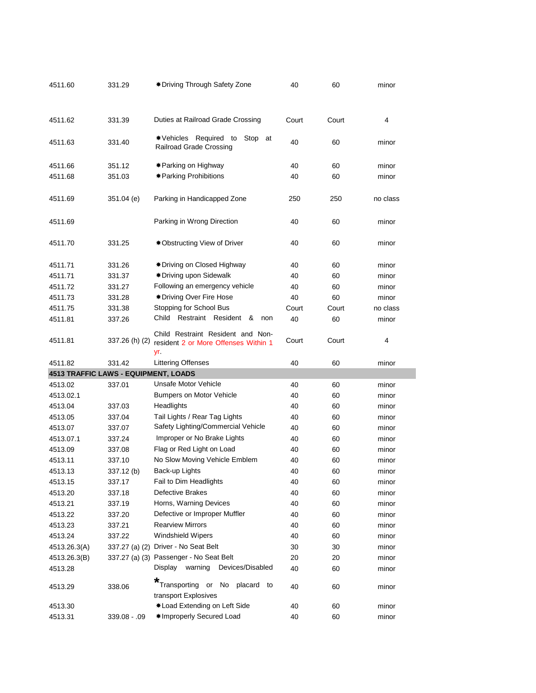| 4511.60                              | 331.29         | * Driving Through Safety Zone                               | 40    | 60    | minor    |
|--------------------------------------|----------------|-------------------------------------------------------------|-------|-------|----------|
|                                      |                |                                                             |       |       |          |
|                                      |                |                                                             |       |       |          |
| 4511.62                              | 331.39         | Duties at Railroad Grade Crossing                           | Court | Court | 4        |
|                                      |                |                                                             |       |       |          |
| 4511.63                              | 331.40         | *Vehicles Required to<br>Stop at<br>Railroad Grade Crossing | 40    | 60    | minor    |
|                                      |                |                                                             |       |       |          |
| 4511.66                              | 351.12         | <b>∗ Parking on Highway</b>                                 | 40    | 60    | minor    |
| 4511.68                              | 351.03         | * Parking Prohibitions                                      | 40    | 60    | minor    |
|                                      |                |                                                             |       |       |          |
| 4511.69                              | 351.04 (e)     | Parking in Handicapped Zone                                 | 250   | 250   | no class |
|                                      |                |                                                             |       |       |          |
| 4511.69                              |                | Parking in Wrong Direction                                  | 40    | 60    | minor    |
|                                      |                |                                                             |       |       |          |
| 4511.70                              | 331.25         | <b><math>*</math>Obstructing View of Driver</b>             | 40    | 60    | minor    |
|                                      |                |                                                             |       |       |          |
| 4511.71                              | 331.26         | <b>*</b> Driving on Closed Highway                          | 40    | 60    | minor    |
| 4511.71                              | 331.37         | * Driving upon Sidewalk                                     | 40    | 60    | minor    |
| 4511.72                              | 331.27         | Following an emergency vehicle                              | 40    | 60    | minor    |
| 4511.73                              | 331.28         | <b>∗Driving Over Fire Hose</b>                              | 40    | 60    | minor    |
| 4511.75                              | 331.38         | Stopping for School Bus                                     | Court | Court | no class |
| 4511.81                              | 337.26         | Restraint Resident &<br>Child<br>non                        | 40    | 60    | minor    |
|                                      |                | Child Restraint Resident and Non-                           |       |       |          |
| 4511.81                              | 337.26 (h) (2) | resident 2 or More Offenses Within 1                        | Court | Court | 4        |
|                                      |                |                                                             |       |       |          |
|                                      |                | yr.                                                         |       |       |          |
| 4511.82                              | 331.42         | <b>Littering Offenses</b>                                   | 40    | 60    | minor    |
| 4513 TRAFFIC LAWS - EQUIPMENT, LOADS |                |                                                             |       |       |          |
| 4513.02                              | 337.01         | Unsafe Motor Vehicle                                        | 40    | 60    | minor    |
| 4513.02.1                            |                | Bumpers on Motor Vehicle                                    | 40    | 60    | minor    |
| 4513.04                              | 337.03         | Headlights                                                  | 40    | 60    | minor    |
| 4513.05                              | 337.04         | Tail Lights / Rear Tag Lights                               | 40    | 60    | minor    |
| 4513.07                              | 337.07         | Safety Lighting/Commercial Vehicle                          | 40    | 60    | minor    |
| 4513.07.1                            | 337.24         | Improper or No Brake Lights                                 | 40    | 60    | minor    |
| 4513.09                              | 337.08         | Flag or Red Light on Load                                   | 40    | 60    | minor    |
| 4513.11                              | 337.10         | No Slow Moving Vehicle Emblem                               | 40    | 60    | minor    |
| 4513.13                              | 337.12 (b)     | Back-up Lights                                              | 40    | 60    | minor    |
| 4513.15                              | 337.17         | Fail to Dim Headlights                                      | 40    | 60    | minor    |
| 4513.20                              | 337.18         | Defective Brakes                                            | 40    | 60    | minor    |
| 4513.21                              | 337.19         | Horns, Warning Devices                                      | 40    | 60    | minor    |
| 4513.22                              | 337.20         | Defective or Improper Muffler                               | 40    | 60    | minor    |
| 4513.23                              | 337.21         | <b>Rearview Mirrors</b>                                     | 40    | 60    | minor    |
| 4513.24                              | 337.22         | <b>Windshield Wipers</b>                                    | 40    | 60    | minor    |
| 4513.26.3(A)                         |                | 337.27 (a) (2) Driver - No Seat Belt                        | 30    | 30    | minor    |
| 4513.26.3(B)                         |                | 337.27 (a) (3) Passenger - No Seat Belt                     | 20    | 20    | minor    |
| 4513.28                              |                | Display warning<br>Devices/Disabled                         | 40    | 60    | minor    |
| 4513.29                              | 338.06         | Transporting or No<br>placard to                            | 40    | 60    | minor    |
|                                      |                | transport Explosives                                        |       |       |          |
| 4513.30                              |                | *Load Extending on Left Side<br>*Improperly Secured Load    | 40    | 60    | minor    |